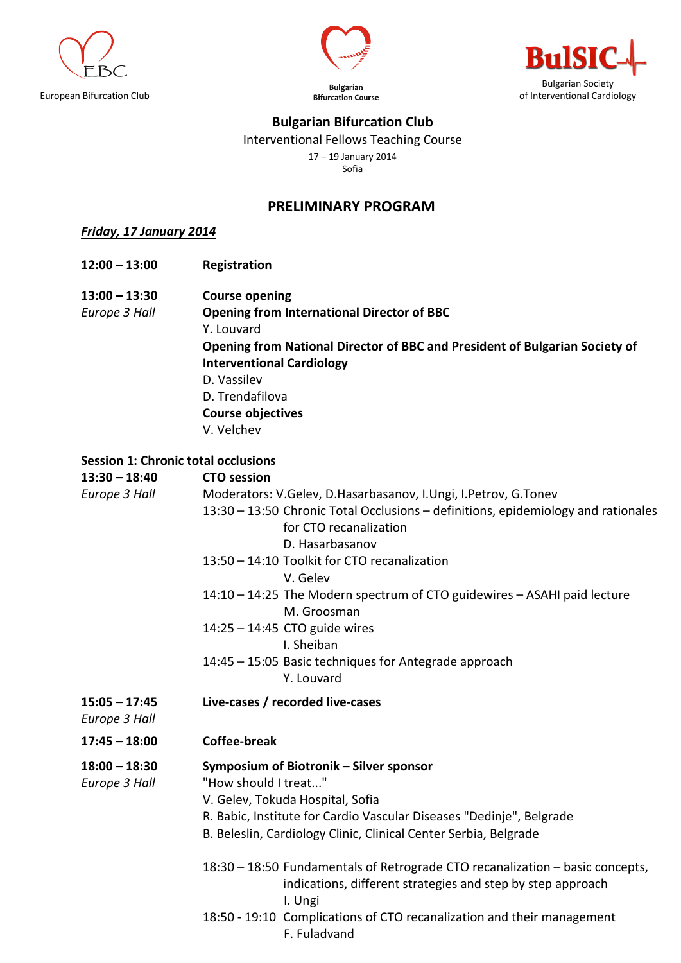



Bulgarian



## **Bulgarian Bifurcation Club**

Interventional Fellows Teaching Course

17 – 19 January 2014

Sofia

## **PRELIMINARY PROGRAM**

*Friday, 17 January 2014*

- **12:00 – 13:00 Registration**
- **13:00 – 13:30 Course opening**

*Europe 3 Hall* **Opening from International Director of BBC** Y. Louvard **Opening from National Director of BBC and President of Bulgarian Society of Interventional Cardiology** D. Vassilev D. Trendafilova **Course objectives** V. Velchev

## **Session 1: Chronic total occlusions**

| $13:30 - 18:40$                  | <b>CTO</b> session                                                                      |  |  |  |
|----------------------------------|-----------------------------------------------------------------------------------------|--|--|--|
| Europe 3 Hall                    | Moderators: V.Gelev, D.Hasarbasanov, I.Ungi, I.Petrov, G.Tonev                          |  |  |  |
|                                  | 13:30 - 13:50 Chronic Total Occlusions - definitions, epidemiology and rationales       |  |  |  |
|                                  | for CTO recanalization                                                                  |  |  |  |
|                                  | D. Hasarbasanov                                                                         |  |  |  |
|                                  | 13:50 - 14:10 Toolkit for CTO recanalization                                            |  |  |  |
|                                  | V. Gelev                                                                                |  |  |  |
|                                  | 14:10 - 14:25 The Modern spectrum of CTO guidewires - ASAHI paid lecture<br>M. Groosman |  |  |  |
|                                  | 14:25 - 14:45 CTO guide wires                                                           |  |  |  |
|                                  | I. Sheiban                                                                              |  |  |  |
|                                  | 14:45 - 15:05 Basic techniques for Antegrade approach                                   |  |  |  |
|                                  | Y. Louvard                                                                              |  |  |  |
| $15:05 - 17:45$<br>Europe 3 Hall | Live-cases / recorded live-cases                                                        |  |  |  |
| $17:45 - 18:00$                  | <b>Coffee-break</b>                                                                     |  |  |  |
| $18:00 - 18:30$                  | Symposium of Biotronik - Silver sponsor                                                 |  |  |  |
| Europe 3 Hall                    | "How should I treat"                                                                    |  |  |  |
|                                  | V. Gelev, Tokuda Hospital, Sofia                                                        |  |  |  |
|                                  | R. Babic, Institute for Cardio Vascular Diseases "Dedinje", Belgrade                    |  |  |  |
|                                  | B. Beleslin, Cardiology Clinic, Clinical Center Serbia, Belgrade                        |  |  |  |
|                                  | 18:30 - 18:50 Fundamentals of Retrograde CTO recanalization - basic concepts,           |  |  |  |
|                                  | indications, different strategies and step by step approach                             |  |  |  |
|                                  | I. Ungi                                                                                 |  |  |  |
|                                  | 18:50 - 19:10 Complications of CTO recanalization and their management<br>F. Fuladvand  |  |  |  |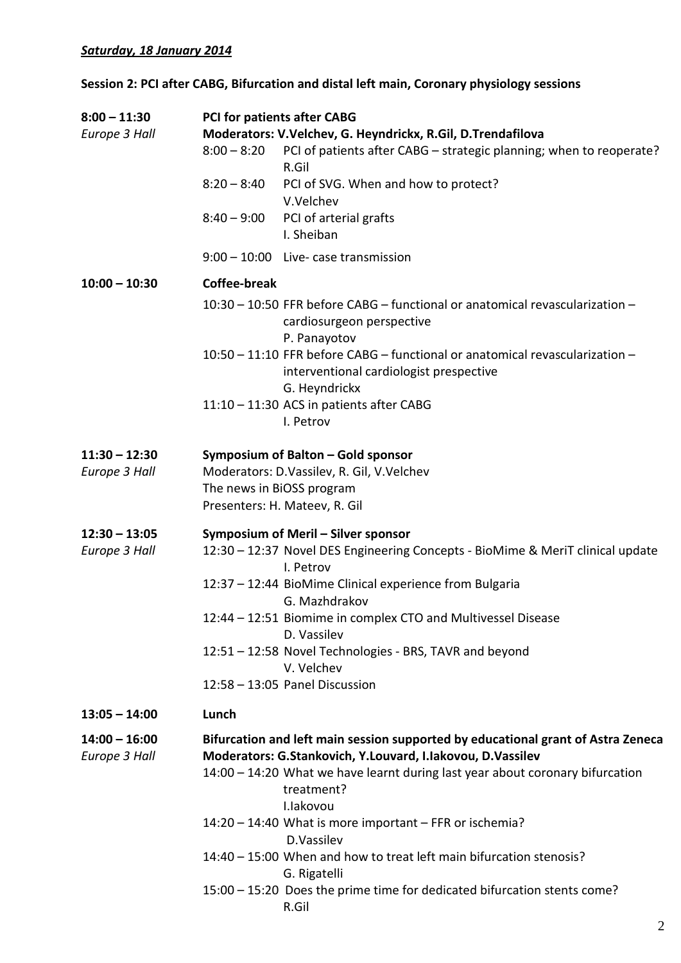## **Session 2: PCI after CABG, Bifurcation and distal left main, Coronary physiology sessions**

| $8:00 - 11:30$  | <b>PCI for patients after CABG</b>                          |                                                                                                                                          |  |  |
|-----------------|-------------------------------------------------------------|------------------------------------------------------------------------------------------------------------------------------------------|--|--|
| Europe 3 Hall   | Moderators: V.Velchev, G. Heyndrickx, R.Gil, D.Trendafilova |                                                                                                                                          |  |  |
|                 | $8:00 - 8:20$                                               | PCI of patients after CABG - strategic planning; when to reoperate?<br>R.Gil                                                             |  |  |
|                 | $8:20 - 8:40$                                               | PCI of SVG. When and how to protect?                                                                                                     |  |  |
|                 |                                                             | V.Velchev                                                                                                                                |  |  |
|                 | $8:40 - 9:00$                                               | PCI of arterial grafts<br>I. Sheiban                                                                                                     |  |  |
|                 |                                                             | 9:00 - 10:00 Live- case transmission                                                                                                     |  |  |
| $10:00 - 10:30$ | <b>Coffee-break</b>                                         |                                                                                                                                          |  |  |
|                 |                                                             | 10:30 - 10:50 FFR before CABG - functional or anatomical revascularization -<br>cardiosurgeon perspective<br>P. Panayotov                |  |  |
|                 |                                                             | 10:50 - 11:10 FFR before CABG - functional or anatomical revascularization -<br>interventional cardiologist prespective<br>G. Heyndrickx |  |  |
|                 |                                                             | 11:10 - 11:30 ACS in patients after CABG                                                                                                 |  |  |
|                 |                                                             | I. Petrov                                                                                                                                |  |  |
| $11:30 - 12:30$ |                                                             | Symposium of Balton - Gold sponsor                                                                                                       |  |  |
| Europe 3 Hall   | Moderators: D.Vassilev, R. Gil, V.Velchev                   |                                                                                                                                          |  |  |
|                 | The news in BiOSS program                                   |                                                                                                                                          |  |  |
|                 |                                                             | Presenters: H. Mateev, R. Gil                                                                                                            |  |  |
| $12:30 - 13:05$ |                                                             | Symposium of Meril - Silver sponsor                                                                                                      |  |  |
| Europe 3 Hall   |                                                             | 12:30 - 12:37 Novel DES Engineering Concepts - BioMime & MeriT clinical update<br>I. Petrov                                              |  |  |
|                 |                                                             | 12:37 - 12:44 BioMime Clinical experience from Bulgaria                                                                                  |  |  |
|                 |                                                             | G. Mazhdrakov                                                                                                                            |  |  |
|                 |                                                             | 12:44 – 12:51 Biomime in complex CTO and Multivessel Disease                                                                             |  |  |
|                 |                                                             | D. Vassilev                                                                                                                              |  |  |
|                 |                                                             | 12:51 - 12:58 Novel Technologies - BRS, TAVR and beyond                                                                                  |  |  |
|                 |                                                             | V. Velchev<br>12:58 - 13:05 Panel Discussion                                                                                             |  |  |
|                 |                                                             |                                                                                                                                          |  |  |
| $13:05 - 14:00$ | Lunch                                                       |                                                                                                                                          |  |  |
| $14:00 - 16:00$ |                                                             | Bifurcation and left main session supported by educational grant of Astra Zeneca                                                         |  |  |
| Europe 3 Hall   |                                                             | Moderators: G.Stankovich, Y.Louvard, I.Iakovou, D.Vassilev                                                                               |  |  |
|                 |                                                             | 14:00 - 14:20 What we have learnt during last year about coronary bifurcation<br>treatment?                                              |  |  |
|                 |                                                             | I.lakovou                                                                                                                                |  |  |
|                 |                                                             | 14:20 - 14:40 What is more important - FFR or ischemia?<br>D.Vassilev                                                                    |  |  |
|                 |                                                             | 14:40 – 15:00 When and how to treat left main bifurcation stenosis?                                                                      |  |  |
|                 |                                                             | G. Rigatelli                                                                                                                             |  |  |
|                 |                                                             | 15:00 - 15:20 Does the prime time for dedicated bifurcation stents come?<br>R.Gil                                                        |  |  |